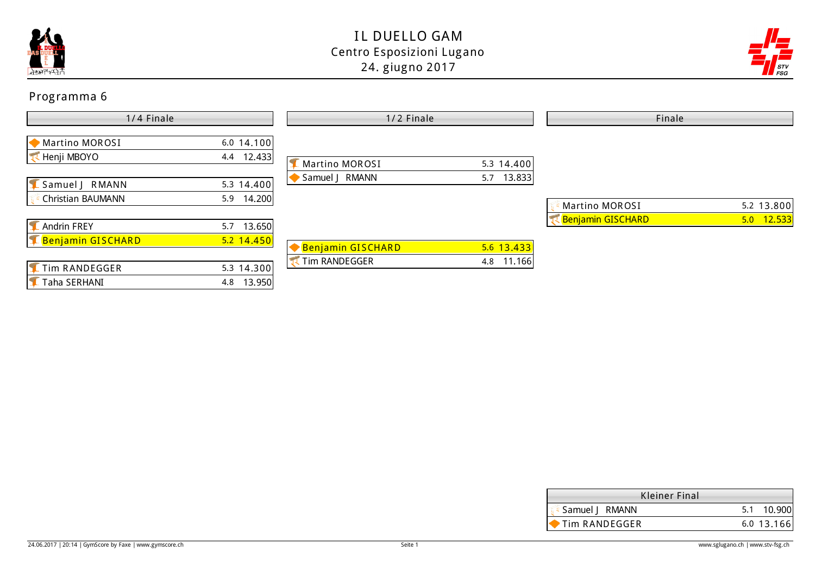



| 1/4 Finale                                       |                               | 1/2 Finale        |               | Finale                   |              |  |
|--------------------------------------------------|-------------------------------|-------------------|---------------|--------------------------|--------------|--|
| Martino MOROSI<br>Henji MBOYO                    | 6.0 14.100<br>4.4 12.433      | Martino MOROSI    | $5.3$ 14.400  |                          |              |  |
| Samuel J RMANN<br>Christian BAUMANN              | 5.3 14.400<br>14.200<br>5.9   | Samuel J RMANN    | 13.833<br>5.7 | Martino MOROSI           | 5.2 $13.800$ |  |
| <b>Andrin FREY</b><br><b>E Benjamin GISCHARD</b> | 13.650<br>5.7<br>$5.2$ 14.450 | Benjamin GISCHARD | $5.6$ 13.433  | <b>Renjamin GISCHARD</b> | $5.0$ 12.533 |  |
| Tim RANDEGGER<br>Taha SERHANI                    | 5.3 14.300<br>4.8 13.950      | Tim RANDEGGER     | 4.8 11.166    |                          |              |  |

| Kleiner Final  |              |
|----------------|--------------|
| Samuel   RMANN | 10.900       |
| Tim RANDEGGER  | $6.0$ 13.166 |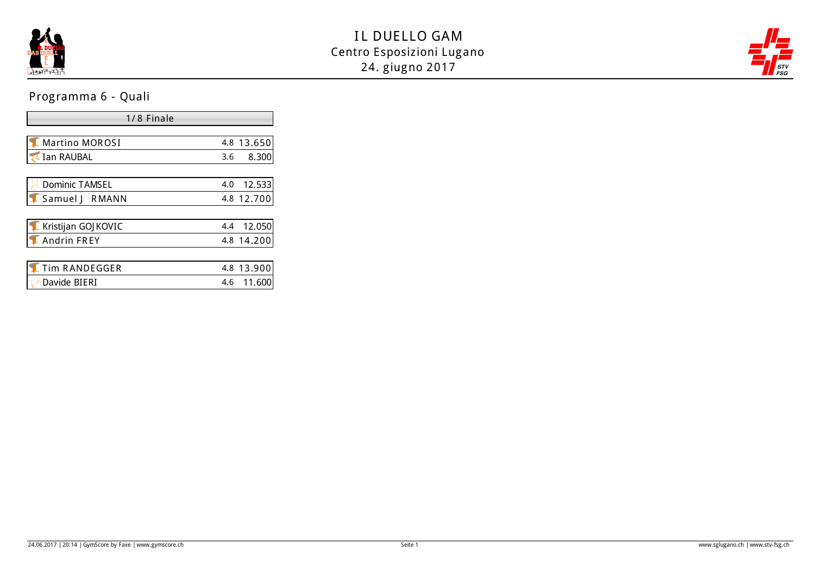



# Programma 6 - Quali

| 1/8 Finale          |               |  |  |  |  |
|---------------------|---------------|--|--|--|--|
|                     |               |  |  |  |  |
| Martino MOROSI      | 4.8 13.650    |  |  |  |  |
| <b>Ian RAUBAL</b>   | 8.300<br>3.6  |  |  |  |  |
|                     |               |  |  |  |  |
| Dominic TAMSEL      | 12.533<br>4.0 |  |  |  |  |
| Samuel   RMANN      | 4.8 12.700    |  |  |  |  |
|                     |               |  |  |  |  |
| Kristijan GOJ KOVIC | 12.050<br>4.4 |  |  |  |  |
| Andrin FREY         | 4.8 14.200    |  |  |  |  |
|                     |               |  |  |  |  |
| Tim RANDEGGER       | 4.8 13.900    |  |  |  |  |
| Davide BIERI        | 4.6<br>11.600 |  |  |  |  |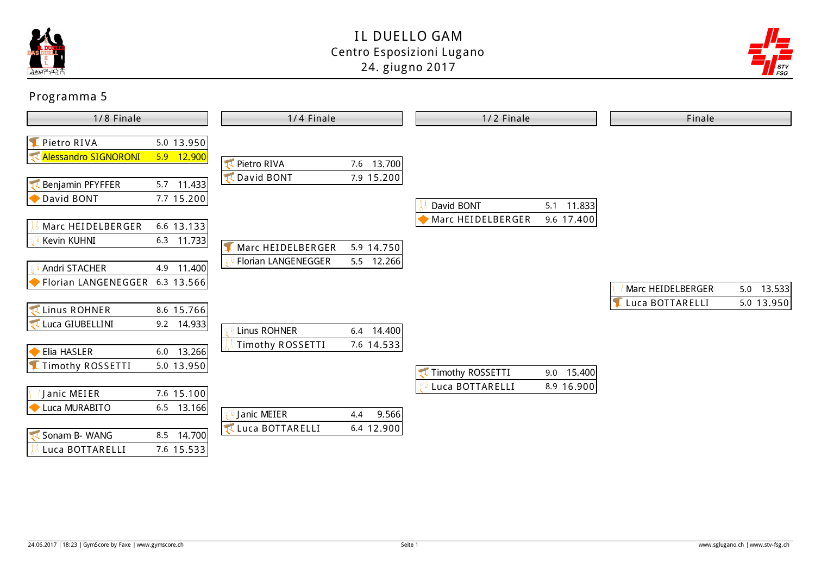



| 1/8 Finale                                                       |                                                          | 1/4 Finale                     |                            | 1/2 Finale        |              | Finale            |            |
|------------------------------------------------------------------|----------------------------------------------------------|--------------------------------|----------------------------|-------------------|--------------|-------------------|------------|
| Pietro RIVA<br><b>Alessandro SIGNORONI</b>                       | $5.0$ 13.950<br>$5.9$ 12.900                             | Pietro RIVA<br>David BONT      | 7.6 13.700<br>7.9 15.200   |                   |              |                   |            |
| <b>Benjamin PFYFFER</b><br>David BONT                            | 5.7 11.433<br>$7.7$ 15.200                               |                                |                            | David BONT        | 5.1 11.833   |                   |            |
| Marc HEIDELBERGER<br>Kevin KUHNI                                 | $6.6$ 13.133<br>$6.3$ 11.733                             | Marc HEIDELBERGER              | 5.9 14.750                 | Marc HEIDELBERGER | 9.6 $17.400$ |                   |            |
| Andri STACHER<br>Florian LANGENEGGER 6.3 13.566                  | 4.9 11.400                                               | Florian LANGENEGGER            | 5.5 12.266                 |                   |              | Marc HEIDELBERGER | 5.0 13.533 |
| Linus ROHNER<br>Luca GIUBELLINI                                  | 8.6 15.766<br>$9.2$ 14.933                               | Linus ROHNER                   | 6.4 14.400                 |                   |              | Luca BOTTARELLI   | 5.0 13.950 |
| Elia HASLER<br><b>E</b> Timothy ROSSETTI                         | $6.0$ 13.266<br>$5.0$ 13.950                             | Timothy ROSSETTI               | 7.6 14.533                 | Timothy ROSSETTI  | $9.0$ 15.400 |                   |            |
| Janic MEIER<br>Luca MURABITO<br>Sonam B- WANG<br>Luca BOTTARELLI | 7.6 $15.100$<br>$6.5$ 13.166<br>8.5 14.700<br>7.6 15.533 | Janic MEIER<br>Luca BOTTARELLI | 9.566<br>4.4<br>6.4 12.900 | Luca BOTTARELLI   | 8.9 16.900   |                   |            |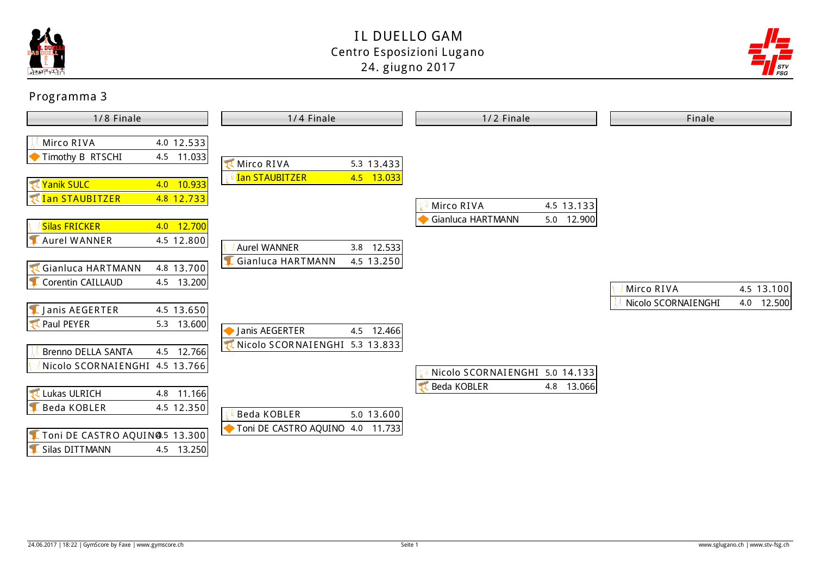



| 1/8 Finale                                                                                       | 1/4 Finale                                                      | 1/2 Finale                                                  | Finale                            |  |
|--------------------------------------------------------------------------------------------------|-----------------------------------------------------------------|-------------------------------------------------------------|-----------------------------------|--|
| 4.0 $12.533$<br>Mirco RIVA<br>Timothy B RTSCHI<br>4.5 11.033                                     | <b>K</b> Mirco RIVA<br>5.3 13.433                               |                                                             |                                   |  |
| <b>X</b> Yanik SULC<br>4.0 10.933<br><b>TADA STAUBITZER</b><br>4.8 12.733                        | 4.5 13.033<br><b>Ian STAUBITZER</b>                             | Mirco RIVA<br>4.5 13.133                                    |                                   |  |
| <b>Silas FRICKER</b><br>4.0 12.700<br><b>Aurel WANNER</b><br>4.5 12.800                          | Aurel WANNER<br>$3.8$ 12.533                                    | Gianluca HARTMANN<br>5.0 12.900                             |                                   |  |
| <b>Cianluca HARTMANN</b><br>4.8 13.700<br>Corentin CAILLAUD<br>4.5 13.200                        | Gianluca HARTMANN<br>4.5 $13.250$                               |                                                             | 4.5 13.100<br>Mirco RIVA          |  |
| L Janis AEGERTER<br>4.5 $13.650$<br><b>T</b> Paul PEYER<br>5.3 $13.600$                          | Janis AEGERTER<br>4.5 12.466                                    |                                                             | Nicolo SCORNAIENGHI<br>4.0 12.500 |  |
| 4.5 12.766<br>Brenno DELLA SANTA<br>Nicolo SCORNAIENGHI 4.5 13.766                               | Nicolo SCORNAIENGHI 5.3 13.833                                  | Nicolo SCORNAIENGHI 5.0 14.133<br>Beda KOBLER<br>4.8 13.066 |                                   |  |
| Lukas ULRICH<br>4.8 11.166<br>4.5 12.350<br><b>Beda KOBLER</b><br>Toni DE CASTRO AQUIN@.5 13.300 | $5.0$ 13.600<br>Beda KOBLER<br>Toni DE CASTRO AQUINO 4.0 11.733 |                                                             |                                   |  |
| Silas DITTMANN<br>4.5 13.250                                                                     |                                                                 |                                                             |                                   |  |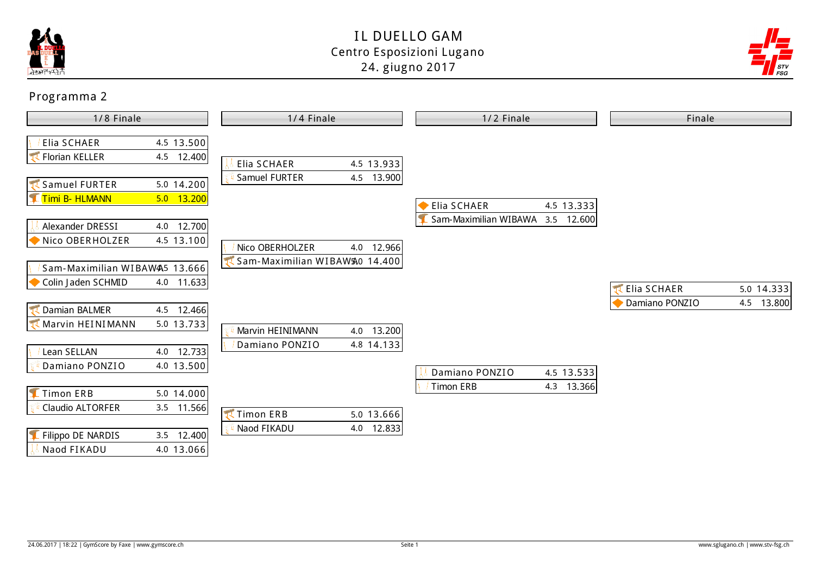



| 1/8 Finale                    |                            | 1/4 Finale                                | 1/2 Finale                       | Finale                       |
|-------------------------------|----------------------------|-------------------------------------------|----------------------------------|------------------------------|
| Elia SCHAER<br>Florian KELLER | 4.5 $13.500$<br>4.5 12.400 | 4.5 13.933<br>Elia SCHAER                 |                                  |                              |
| Samuel FURTER                 | 5.0 14.200                 | 4.5 13.900<br>Samuel FURTER               |                                  |                              |
| L Timi B- HLMANN              | 5.0 13.200                 |                                           | <b>Elia SCHAER</b><br>4.5 13.333 |                              |
| Alexander DRESSI              | 4.0 12.700                 |                                           | Sam-Maximilian WIBAWA 3.5 12.600 |                              |
| Nico OBERHOLZER               | 4.5 13.100                 | Nico OBERHOLZER<br>4.0 12.966             |                                  |                              |
| Sam-Maximilian WIBAW45 13.666 |                            | Sam-Maximilian WIBAW <sub>30</sub> 14.400 |                                  |                              |
| Colin Jaden SCHMID            | 4.0 11.633                 |                                           |                                  | Elia SCHAER<br>5.0 14.333    |
| Damian BALMER                 | 4.5 12.466                 |                                           |                                  | Damiano PONZIO<br>4.5 13.800 |
| Marvin HEINIMANN              | 5.0 13.733                 | 4.0 13.200<br>Marvin HEINIMANN            |                                  |                              |
| Lean SELLAN                   | 4.0 12.733                 | Damiano PONZIO<br>4.8 14.133              |                                  |                              |
| Damiano PONZIO                | 4.0 13.500                 |                                           | Damiano PONZIO<br>4.5 13.533     |                              |
| <b>E</b> Timon ERB            | $5.0$ 14.000               |                                           | <b>Timon ERB</b><br>4.3 13.366   |                              |
| Claudio ALTORFER              | 3.5 11.566                 | Timon ERB<br>$5.0$ 13.666                 |                                  |                              |
| Filippo DE NARDIS             | 3.5 12.400                 | Naod FIKADU<br>4.0 12.833                 |                                  |                              |
| Naod FIKADU                   | 4.0 13.066                 |                                           |                                  |                              |